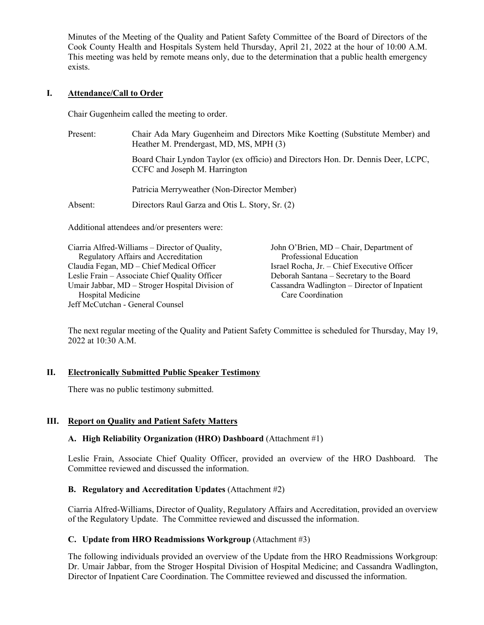Minutes of the Meeting of the Quality and Patient Safety Committee of the Board of Directors of the Cook County Health and Hospitals System held Thursday, April 21, 2022 at the hour of 10:00 A.M. This meeting was held by remote means only, due to the determination that a public health emergency exists.

## **I. Attendance/Call to Order**

Chair Gugenheim called the meeting to order.

| Present: | Chair Ada Mary Gugenheim and Directors Mike Koetting (Substitute Member) and<br>Heather M. Prendergast, MD, MS, MPH (3) |
|----------|-------------------------------------------------------------------------------------------------------------------------|
|          | Board Chair Lyndon Taylor (ex officio) and Directors Hon. Dr. Dennis Deer, LCPC,<br>CCFC and Joseph M. Harrington       |
|          | Patricia Merryweather (Non-Director Member)                                                                             |
| Absent:  | Directors Raul Garza and Otis L. Story, Sr. (2)                                                                         |
|          |                                                                                                                         |

Additional attendees and/or presenters were:

| Ciarria Alfred-Williams – Director of Quality,  | John O'Brien, MD – Chair, Department of      |
|-------------------------------------------------|----------------------------------------------|
| Regulatory Affairs and Accreditation            | Professional Education                       |
| Claudia Fegan, MD - Chief Medical Officer       | Israel Rocha, Jr. - Chief Executive Officer  |
| Leslie Frain - Associate Chief Quality Officer  | Deborah Santana - Secretary to the Board     |
| Umair Jabbar, MD – Stroger Hospital Division of | Cassandra Wadlington – Director of Inpatient |
| Hospital Medicine                               | Care Coordination                            |
| Jeff McCutchan - General Counsel                |                                              |

The next regular meeting of the Quality and Patient Safety Committee is scheduled for Thursday, May 19, 2022 at 10:30 A.M.

# **II. Electronically Submitted Public Speaker Testimony**

There was no public testimony submitted.

# **III. Report on Quality and Patient Safety Matters**

# **A. High Reliability Organization (HRO) Dashboard** (Attachment #1)

Leslie Frain, Associate Chief Quality Officer, provided an overview of the HRO Dashboard. The Committee reviewed and discussed the information.

#### **B. Regulatory and Accreditation Updates** (Attachment #2)

Ciarria Alfred-Williams, Director of Quality, Regulatory Affairs and Accreditation, provided an overview of the Regulatory Update. The Committee reviewed and discussed the information.

#### **C. Update from HRO Readmissions Workgroup** (Attachment #3)

The following individuals provided an overview of the Update from the HRO Readmissions Workgroup: Dr. Umair Jabbar, from the Stroger Hospital Division of Hospital Medicine; and Cassandra Wadlington, Director of Inpatient Care Coordination. The Committee reviewed and discussed the information.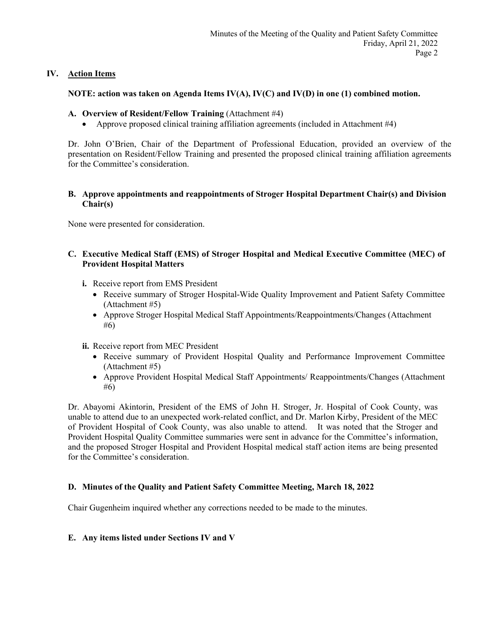## **IV. Action Items**

## **NOTE: action was taken on Agenda Items IV(A), IV(C) and IV(D) in one (1) combined motion.**

#### **A. Overview of Resident/Fellow Training** (Attachment #4)

• Approve proposed clinical training affiliation agreements (included in Attachment #4)

Dr. John O'Brien, Chair of the Department of Professional Education, provided an overview of the presentation on Resident/Fellow Training and presented the proposed clinical training affiliation agreements for the Committee's consideration.

#### **B. Approve appointments and reappointments of Stroger Hospital Department Chair(s) and Division Chair(s)**

None were presented for consideration.

## **C. Executive Medical Staff (EMS) of Stroger Hospital and Medical Executive Committee (MEC) of Provident Hospital Matters**

- **i.** Receive report from EMS President
	- Receive summary of Stroger Hospital-Wide Quality Improvement and Patient Safety Committee (Attachment #5)
	- Approve Stroger Hospital Medical Staff Appointments/Reappointments/Changes (Attachment #6)
- **ii.** Receive report from MEC President
	- Receive summary of Provident Hospital Quality and Performance Improvement Committee (Attachment #5)
	- Approve Provident Hospital Medical Staff Appointments/ Reappointments/Changes (Attachment #6)

Dr. Abayomi Akintorin, President of the EMS of John H. Stroger, Jr. Hospital of Cook County, was unable to attend due to an unexpected work-related conflict, and Dr. Marlon Kirby, President of the MEC of Provident Hospital of Cook County, was also unable to attend. It was noted that the Stroger and Provident Hospital Quality Committee summaries were sent in advance for the Committee's information, and the proposed Stroger Hospital and Provident Hospital medical staff action items are being presented for the Committee's consideration.

# **D. Minutes of the Quality and Patient Safety Committee Meeting, March 18, 2022**

Chair Gugenheim inquired whether any corrections needed to be made to the minutes.

#### **E. Any items listed under Sections IV and V**